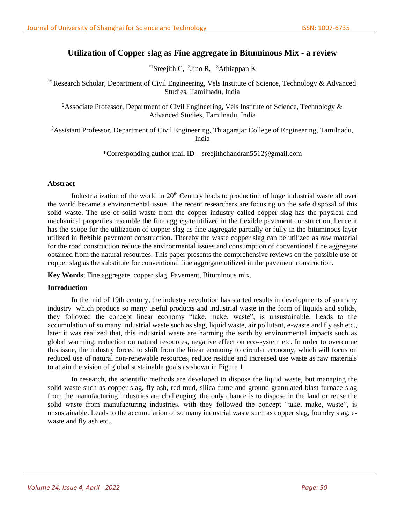# **Utilization of Copper slag as Fine aggregate in Bituminous Mix - a review**

 $*$ <sup>1</sup>Sreejith C, <sup>2</sup>Jino R, <sup>3</sup>Athiappan K

\*1Research Scholar, Department of Civil Engineering, Vels Institute of Science, Technology & Advanced Studies, Tamilnadu, India

<sup>2</sup>Associate Professor, Department of Civil Engineering, Vels Institute of Science, Technology  $\&$ Advanced Studies, Tamilnadu, India

<sup>3</sup>Assistant Professor, Department of Civil Engineering, Thiagarajar College of Engineering, Tamilnadu, India

\*Corresponding author mail ID – sreejithchandran5512@gmail.com

# **Abstract**

Industrialization of the world in 20<sup>th</sup> Century leads to production of huge industrial waste all over the world became a environmental issue. The recent researchers are focusing on the safe disposal of this solid waste. The use of solid waste from the copper industry called copper slag has the physical and mechanical properties resemble the fine aggregate utilized in the flexible pavement construction, hence it has the scope for the utilization of copper slag as fine aggregate partially or fully in the bituminous layer utilized in flexible pavement construction. Thereby the waste copper slag can be utilized as raw material for the road construction reduce the environmental issues and consumption of conventional fine aggregate obtained from the natural resources. This paper presents the comprehensive reviews on the possible use of copper slag as the substitute for conventional fine aggregate utilized in the pavement construction.

**Key Words**; Fine aggregate, copper slag, Pavement, Bituminous mix,

# **Introduction**

In the mid of 19th century, the industry revolution has started results in developments of so many industry which produce so many useful products and industrial waste in the form of liquids and solids, they followed the concept linear economy "take, make, waste", is unsustainable. Leads to the accumulation of so many industrial waste such as slag, liquid waste, air pollutant, e-waste and fly ash etc., later it was realized that, this industrial waste are harming the earth by environmental impacts such as global warming, reduction on natural resources, negative effect on eco-system etc. In order to overcome this issue, the industry forced to shift from the linear economy to circular economy, which will focus on reduced use of natural non-renewable resources, reduce residue and increased use waste as raw materials to attain the vision of global sustainable goals as shown in Figure 1.

In research, the scientific methods are developed to dispose the liquid waste, but managing the solid waste such as copper slag, fly ash, red mud, silica fume and ground granulated blast furnace slag from the manufacturing industries are challenging, the only chance is to dispose in the land or reuse the solid waste from manufacturing industries. with they followed the concept "take, make, waste", is unsustainable. Leads to the accumulation of so many industrial waste such as copper slag, foundry slag, ewaste and fly ash etc.,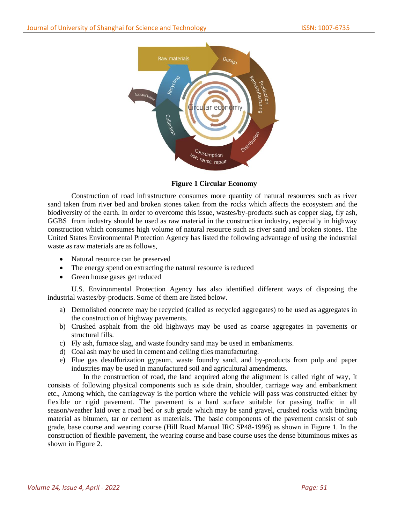

**Figure 1 Circular Economy**

Construction of road infrastructure consumes more quantity of natural resources such as river sand taken from river bed and broken stones taken from the rocks which affects the ecosystem and the biodiversity of the earth. In order to overcome this issue, wastes/by-products such as copper slag, fly ash, GGBS from industry should be used as raw material in the construction industry, especially in highway construction which consumes high volume of natural resource such as river sand and broken stones. The United States Environmental Protection Agency has listed the following advantage of using the industrial waste as raw materials are as follows,

- Natural resource can be preserved
- The energy spend on extracting the natural resource is reduced
- Green house gases get reduced

U.S. Environmental Protection Agency has also identified different ways of disposing the industrial wastes/by-products. Some of them are listed below.

- a) Demolished concrete may be recycled (called as recycled aggregates) to be used as aggregates in the construction of highway pavements.
- b) Crushed asphalt from the old highways may be used as coarse aggregates in pavements or structural fills.
- c) Fly ash, furnace slag, and waste foundry sand may be used in embankments.
- d) Coal ash may be used in cement and ceiling tiles manufacturing.
- e) Flue gas desulfurization gypsum, waste foundry sand, and by-products from pulp and paper industries may be used in manufactured soil and agricultural amendments.

In the construction of road, the land acquired along the alignment is called right of way, It consists of following physical components such as side drain, shoulder, carriage way and embankment etc., Among which, the carriageway is the portion where the vehicle will pass was constructed either by flexible or rigid pavement. The pavement is a hard surface suitable for passing traffic in all season/weather laid over a road bed or sub grade which may be sand gravel, crushed rocks with binding material as bitumen, tar or cement as materials. The basic components of the pavement consist of sub grade, base course and wearing course (Hill Road Manual IRC SP48-1996) as shown in Figure 1. In the construction of flexible pavement, the wearing course and base course uses the dense bituminous mixes as shown in Figure 2.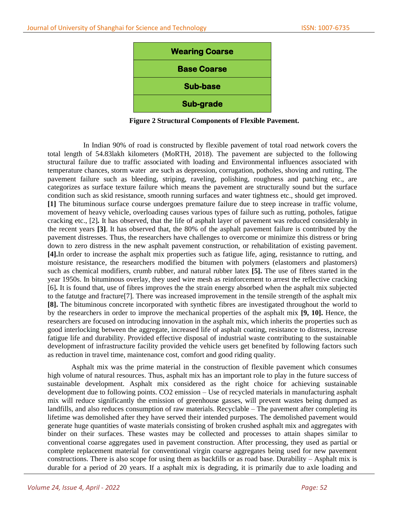

**Figure 2 Structural Components of Flexible Pavement.**

In Indian 90% of road is constructed by flexible pavement of total road network covers the total length of 54.83lakh kilometers (MoRTH, 2018). The pavement are subjected to the following structural failure due to traffic associated with loading and Environmental influences associated with temperature chances, storm water are such as depression, corrugation, potholes, shoving and rutting. The pavement failure such as bleeding, striping, raveling, polishing, roughness and patching etc., are categorizes as surface texture failure which means the pavement are structurally sound but the surface condition such as skid resistance, smooth running surfaces and water tightness etc., should get improved. **[1]** The bituminous surface course undergoes premature failure due to steep increase in traffic volume, movement of heavy vehicle, overloading causes various types of failure such as rutting, potholes, fatigue cracking etc., [2]**.** It has observed, that the life of asphalt layer of pavement was reduced considerably in the recent years **[3]**. It has observed that, the 80% of the asphalt pavement failure is contributed by the pavement distresses. Thus, the researchers have challenges to overcome or minimize this distress or bring down to zero distress in the new asphalt pavement construction, or rehabilitation of existing pavement. **[4].**In order to increase the asphalt mix properties such as fatigue life, aging, resistannce to rutting, and moisture resistance, the researchers modified the bitumen with polymers (elastomers and plastomers) such as chemical modifiers, crumb rubber, and natural rubber latex **[5].** The use of fibres started in the year 1950s. In bituminous overlay, they used wire mesh as reinforcement to arrest the reflective cracking [6]**.** It is found that, use of fibres improves the the strain energy absorbed when the asphalt mix subjected to the fatutge and fracture[7]. There was increased improvement in the tensile strength of the asphalt mix **[8].** The bituminous concrete incorporated with synthetic fibres are investigated throughout the world to by the researchers in order to improve the mechanical properties of the asphalt mix **[9, 10].** Hence, the researchers are focused on introducing innovation in the asphalt mix, which inherits the properties such as good interlocking between the aggregate, increased life of asphalt coating, resistance to distress, increase fatigue life and durability. Provided effective disposal of industrial waste contributing to the sustainable development of infrastructure facility provided the vehicle users get benefited by following factors such as reduction in travel time, maintenance cost, comfort and good riding quality.

Asphalt mix was the prime material in the construction of flexible pavement which consumes high volume of natural resources. Thus, asphalt mix has an important role to play in the future success of sustainable development. Asphalt mix considered as the right choice for achieving sustainable development due to following points. CO2 emission – Use of recycled materials in manufacturing asphalt mix will reduce significantly the emission of greenhouse gasses, will prevent wastes being dumped as landfills, and also reduces consumption of raw materials. Recyclable – The pavement after completing its lifetime was demolished after they have served their intended purposes. The demolished pavement would generate huge quantities of waste materials consisting of broken crushed asphalt mix and aggregates with binder on their surfaces. These wastes may be collected and processes to attain shapes similar to conventional coarse aggregates used in pavement construction. After processing, they used as partial or complete replacement material for conventional virgin coarse aggregates being used for new pavement constructions. There is also scope for using them as backfills or as road base. Durability – Asphalt mix is durable for a period of 20 years. If a asphalt mix is degrading, it is primarily due to axle loading and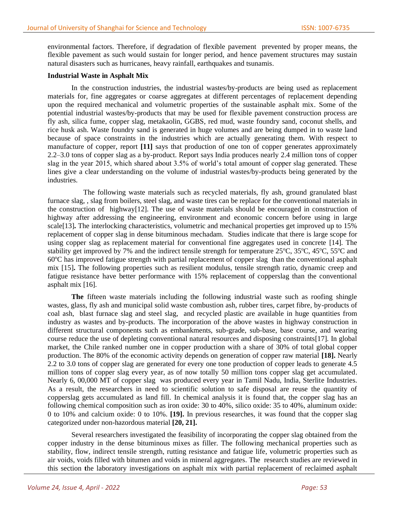environmental factors. Therefore, if degradation of flexible pavement prevented by proper means, the flexible pavement as such would sustain for longer period, and hence pavement structures may sustain natural disasters such as hurricanes, heavy rainfall, earthquakes and tsunamis.

### **Industrial Waste in Asphalt Mix**

In the construction industries, the industrial wastes/by-products are being used as replacement materials for, fine aggregates or coarse aggregates at different percentages of replacement depending upon the required mechanical and volumetric properties of the sustainable asphalt mix. Some of the potential industrial wastes/by-products that may be used for flexible pavement construction process are fly ash, silica fume, copper slag, metakaolin, GGBS, red mud, waste foundry sand, coconut shells, and rice husk ash. Waste foundry sand is generated in huge volumes and are being dumped in to waste land because of space constraints in the industries which are actually generating them. With respect to manufacture of copper, report **[11]** says that production of one ton of copper generates approximately 2.2–3.0 tons of copper slag as a by-product. Report says India produces nearly 2.4 million tons of copper slag in the year 2015, which shared about 3.5% of world's total amount of copper slag generated. These lines give a clear understanding on the volume of industrial wastes/by-products being generated by the industries.

The following waste materials such as recycled materials, fly ash, ground granulated blast furnace slag, , slag from boilers, steel slag, and waste tires can be replace for the conventional materials in the construction of highway[12]. The use of waste materials should be encouraged in construction of highway after addressing the engineering, environment and economic concern before using in large scale<sup>[13]</sup>. The interlocking characteristics, volumetric and mechanical properties get improved up to 15% replacement of copper slag in dense bituminous mechadam. Studies indicate that there is large scope for using copper slag as replacement material for conventional fine aggregates used in concrete [14]. The stability get improved by 7% and the indirect tensile strength for temperature  $25^{\circ}$ C,  $35^{\circ}$ C,  $45^{\circ}$ C,  $55^{\circ}$ C and  $60^{\circ}$ C has improved fatigue strength with partial replacement of copper slag than the conventional asphalt mix [15]**.** The following properties such as resilient modulus, tensile strength ratio, dynamic creep and fatigue resistance have better performance with 15% replacement of copperslag than the conventional asphalt mix [16].

**The** fifteen waste materials including the following industrial waste such as roofing shingle wastes, glass, fly ash and municipal solid waste combustion ash, rubber tires, carpet fibre, by-products of coal ash, blast furnace slag and steel slag, and recycled plastic are available in huge quantities from industry as wastes and by-products. The incorporation of the above wastes in highway construction in different structural components such as embankments, sub-grade, sub-base, base course, and wearing course reduce the use of depleting conventional natural resources and disposing constraints[17]. In global market, the Chile ranked number one in copper production with a share of 30% of total global copper production. The 80% of the economic activity depends on generation of copper raw material **[18].** Nearly 2.2 to 3.0 tons of copper slag are generated for every one tone production of copper leads to generate 4.5 million tons of copper slag every year, as of now totally 50 million tons copper slag get accumulated. Nearly 6, 00,000 MT of copper slag was produced every year in Tamil Nadu, India, Sterlite Industries. As a result, the researchers in need to scientific solution to safe disposal are reuse the quantity of copperslag gets accumulated as land fill. In chemical analysis it is found that, the copper slag has an following chemical composition such as iron oxide: 30 to 40%, silico oxide: 35 to 40%, aluminum oxide: 0 to 10% and calcium oxide: 0 to 10%. **[19].** In previous researches, it was found that the copper slag categorized under non-hazordous material **[20, 21].**

Several researchers investigated the feasibility of incorporating the copper slag obtained from the copper industry in the dense bituminous mixes as filler. The following mechanical properties such as stability, flow, indirect tensile strength, rutting resistance and fatigue life, volumetric properties such as air voids, voids filled with bitumen and voids in mineral aggregates. The research studies are reviewed in this section **t**he laboratory investigations on asphalt mix with partial replacement of reclaimed asphalt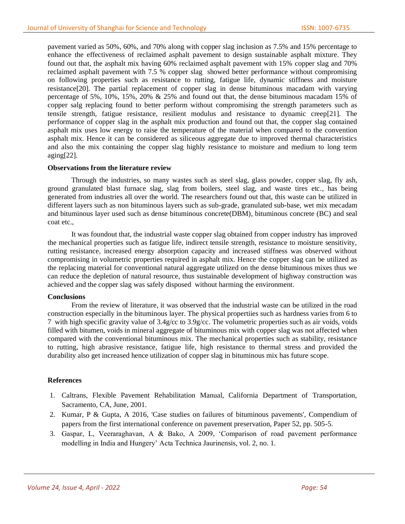pavement varied as 50%, 60%, and 70% along with copper slag inclusion as 7.5% and 15% percentage to enhance the effectiveness of reclaimed asphalt pavement to design sustainable asphalt mixture. They found out that, the asphalt mix having 60% reclaimed asphalt pavement with 15% copper slag and 70% reclaimed asphalt pavement with 7.5 % copper slag showed better performance without compromising on following properties such as resistance to rutting, fatigue life, dynamic stiffness and moisture resistance[20]. The partial replacement of copper slag in dense bituminous macadam with varying percentage of 5%, 10%, 15%, 20% & 25% and found out that, the dense bituminous macadam 15% of copper salg replacing found to better perform without compromising the strength parameters such as tensile strength, fatigue resistance, resilient modulus and resistance to dynamic creep[21]. The performance of copper slag in the asphalt mix production and found out that, the copper slag contained asphalt mix uses low energy to raise the temperature of the material when compared to the convention asphalt mix. Hence it can be considered as siliceous aggregate due to improved thermal characteristics and also the mix containing the copper slag highly resistance to moisture and medium to long term aging[22].

# **Observations from the literature review**

Through the industries, so many wastes such as steel slag, glass powder, copper slag, fly ash, ground granulated blast furnace slag, slag from boilers, steel slag, and waste tires etc., has being generated from industries all over the world. The researchers found out that, this waste can be utilized in different layers such as non bituminous layers such as sub-grade, granulated sub-base, wet mix mecadam and bituminous layer used such as dense bituminous concrete(DBM), bituminous concrete (BC) and seal coat etc.,

It was foundout that, the industrial waste copper slag obtained from copper industry has improved the mechanical properties such as fatigue life, indirect tensile strength, resistance to moisture sensitivity, rutting resistance, increased energy absorption capacity and increased stiffness was observed without compromising in volumetric properties required in asphalt mix. Hence the copper slag can be utilized as the replacing material for conventional natural aggregate utilized on the dense bituminous mixes thus we can reduce the depletion of natural resource, thus sustainable development of highway construction was achieved and the copper slag was safely disposed without harming the environment.

### **Conclusions**

From the review of literature, it was observed that the industrial waste can be utilized in the road construction especially in the bituminous layer. The physical propertiies such as hardness varies from 6 to 7 with high specific gravity value of 3.4g/cc to 3.9g/cc. The volumetric properties such as air voids, voids filled with bitumen, voids in mineral aggregate of bituminous mix with copper slag was not affected when compared with the conventional bituminous mix. The mechanical properties such as stability, resistance to rutting, high abrasive resistance, fatigue life, high resistance to thermal stress and provided the durability also get increased hence utilization of copper slag in bituminous mix has future scope.

# **References**

- 1. Caltrans, Flexible Pavement Rehabilitation Manual, California Department of Transportation, Sacramento, CA, June, 2001.
- 2. Kumar, P & Gupta, A 2016, 'Case studies on failures of bituminous pavements', Compendium of papers from the first international conference on pavement preservation, Paper 52, pp. 505-5.
- 3. Gaspar, L, Veeraraghavan, A & Bako, A 2009, 'Comparison of road pavement performance modelling in India and Hungery' Acta Technica Jaurinensis, vol. 2, no. 1.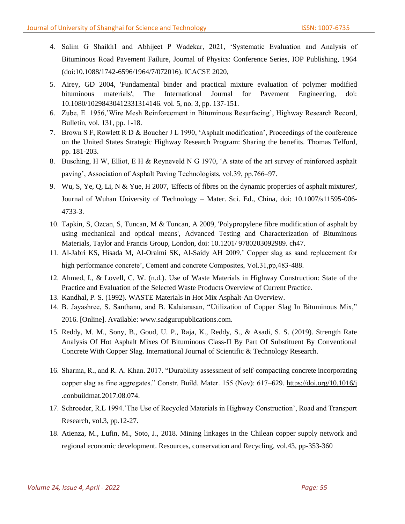- 4. Salim G Shaikh1 and Abhijeet P Wadekar, 2021, 'Systematic Evaluation and Analysis of Bituminous Road Pavement Failure, Journal of Physics: Conference Series, IOP Publishing, 1964 (doi:10.1088/1742-6596/1964/7/072016). ICACSE 2020,
- 5. Airey, GD 2004, 'Fundamental binder and practical mixture evaluation of polymer modified bituminous materials', The International Journal for Pavement Engineering, doi: 10.1080/10298430412331314146. vol. 5, no. 3, pp. 137-151.
- 6. Zube, E 1956,'Wire Mesh Reinforcement in Bituminous Resurfacing', Highway Research Record, Bulletin, vol. 131, pp. 1-18.
- 7. Brown S F, Rowlett R D & Boucher J L 1990, 'Asphalt modification', Proceedings of the conference on the United States Strategic Highway Research Program: Sharing the benefits. Thomas Telford, pp. 181-203.
- 8. Busching, H W, Elliot, E H & Reyneveld N G 1970, 'A state of the art survey of reinforced asphalt paving', Association of Asphalt Paving Technologists, vol.39, pp.766–97.
- 9. Wu, S, Ye, Q, Li, N & Yue, H 2007, 'Effects of fibres on the dynamic properties of asphalt mixtures', Journal of Wuhan University of Technology – Mater. Sci. Ed., China, doi: 10.1007/s11595-006- 4733-3.
- 10. Tapkin, S, Ozcan, S, Tuncan, M & Tuncan, A 2009, 'Polypropylene fibre modification of asphalt by using mechanical and optical means', Advanced Testing and Characterization of Bituminous Materials, Taylor and Francis Group, London, doi: 10.1201/ 9780203092989. ch47.
- 11. Al-Jabri KS, Hisada M, Al-Oraimi SK, Al-Saidy AH 2009,' Copper slag as sand replacement for high performance concrete', Cement and concrete Composites, Vol.31,pp,483-488.
- 12. Ahmed, I., & Lovell, C. W. (n.d.). Use of Waste Materials in Highway Construction: State of the Practice and Evaluation of the Selected Waste Products Overview of Current Practice.
- 13. Kandhal, P. S. (1992). WASTE Materials in Hot Mix Asphalt-An Overview.
- 14. B. Jayashree, S. Santhanu, and B. Kalaiarasan, "Utilization of Copper Slag In Bituminous Mix," 2016. [Online]. Available: www.sadgurupublications.com.
- 15. Reddy, M. M., Sony, B., Goud, U. P., Raja, K., Reddy, S., & Asadi, S. S. (2019). Strength Rate Analysis Of Hot Asphalt Mixes Of Bituminous Class-II By Part Of Substituent By Conventional Concrete With Copper Slag. International Journal of Scientific & Technology Research.
- 16. Sharma, R., and R. A. Khan. 2017. "Durability assessment of self-compacting concrete incorporating copper slag as fine aggregates." Constr. Build. Mater. 155 (Nov): 617–629. [https://doi.org/10.1016/j](https://doi.org/10.1016/j%20.conbuildmat.2017.08.074)  [.conbuildmat.2017.08.074.](https://doi.org/10.1016/j%20.conbuildmat.2017.08.074)
- 17. Schroeder, R.L 1994.'The Use of Recycled Materials in Highway Construction', Road and Transport Research, vol.3, pp.12-27.
- 18. Atienza, M., Lufin, M., Soto, J., 2018. Mining linkages in the Chilean copper supply network and regional economic development. Resources, conservation and Recycling, vol.43, pp-353-360